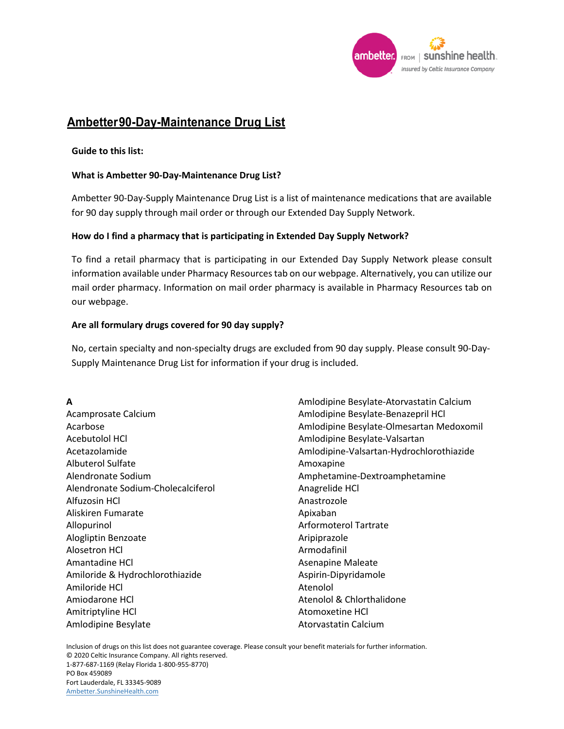

# **Ambetter 90-Day-Maintenance Drug List**

### **Guide to this list:**

### **What is Ambetter 90‐Day‐Maintenance Drug List?**

Ambetter 90‐Day‐Supply Maintenance Drug List is a list of maintenance medications that are available for 90 day supply through mail order or through our Extended Day Supply Network.

### **How do I find a pharmacy that is participating in Extended Day Supply Network?**

To find a retail pharmacy that is participating in our Extended Day Supply Network please consult information available under Pharmacy Resources tab on our webpage. Alternatively, you can utilize our mail order pharmacy. Information on mail order pharmacy is available in Pharmacy Resources tab on our webpage.

### **Are all formulary drugs covered for 90 day supply?**

No, certain specialty and non‐specialty drugs are excluded from 90 day supply. Please consult 90‐Day‐ Supply Maintenance Drug List for information if your drug is included.

**A**  Acamprosate Calcium Acarbose Acebutolol HCl Acetazolamide Albuterol Sulfate Alendronate Sodium Alendronate Sodium-Cholecalciferol Alfuzosin HCl Aliskiren Fumarate Allopurinol Alogliptin Benzoate Alosetron HCl Amantadine HCl Amiloride & Hydrochlorothiazide Amiloride HCl Amiodarone HCl Amitriptyline HCl Amlodipine Besylate

Amlodipine Besylate-Atorvastatin Calcium Amlodipine Besylate-Benazepril HCl Amlodipine Besylate-Olmesartan Medoxomil Amlodipine Besylate-Valsartan Amlodipine-Valsartan-Hydrochlorothiazide Amoxapine Amphetamine-Dextroamphetamine Anagrelide HCl Anastrozole Apixaban Arformoterol Tartrate Aripiprazole Armodafinil Asenapine Maleate Aspirin-Dipyridamole Atenolol Atenolol & Chlorthalidone Atomoxetine HCl Atorvastatin Calcium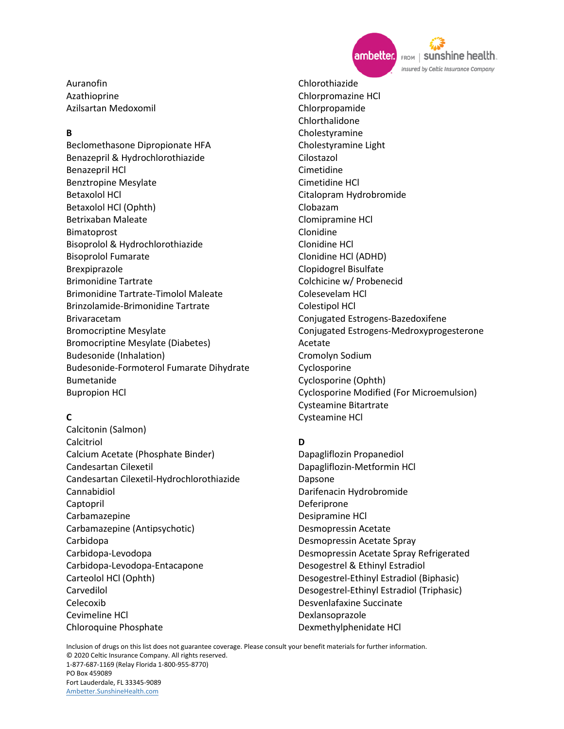

sunshine health. FROM | Insured by Celtic Insurance Company

Auranofin Azathioprine Azilsartan Medoxomil

## **B**

Beclomethasone Dipropionate HFA Benazepril & Hydrochlorothiazide Benazepril HCl Benztropine Mesylate Betaxolol HCl Betaxolol HCl (Ophth) Betrixaban Maleate Bimatoprost Bisoprolol & Hydrochlorothiazide Bisoprolol Fumarate Brexpiprazole Brimonidine Tartrate Brimonidine Tartrate-Timolol Maleate Brinzolamide-Brimonidine Tartrate Brivaracetam Bromocriptine Mesylate Bromocriptine Mesylate (Diabetes) Budesonide (Inhalation) Budesonide-Formoterol Fumarate Dihydrate Bumetanide Bupropion HCl

## **C**

Calcitonin (Salmon) Calcitriol Calcium Acetate (Phosphate Binder) Candesartan Cilexetil Candesartan Cilexetil-Hydrochlorothiazide Cannabidiol Captopril Carbamazepine Carbamazepine (Antipsychotic) Carbidopa Carbidopa-Levodopa Carbidopa-Levodopa-Entacapone Carteolol HCl (Ophth) Carvedilol Celecoxib Cevimeline HCl Chloroquine Phosphate

Chlorothiazide Chlorpromazine HCl Chlorpropamide Chlorthalidone Cholestyramine Cholestyramine Light Cilostazol Cimetidine Cimetidine HCl Citalopram Hydrobromide Clobazam Clomipramine HCl Clonidine Clonidine HCl Clonidine HCl (ADHD) Clopidogrel Bisulfate Colchicine w/ Probenecid Colesevelam HCl Colestipol HCl Conjugated Estrogens-Bazedoxifene Conjugated Estrogens-Medroxyprogesterone Acetate Cromolyn Sodium Cyclosporine Cyclosporine (Ophth) Cyclosporine Modified (For Microemulsion) Cysteamine Bitartrate Cysteamine HCl

## **D**

Dapagliflozin Propanediol Dapagliflozin-Metformin HCl Dapsone Darifenacin Hydrobromide Deferiprone Desipramine HCl Desmopressin Acetate Desmopressin Acetate Spray Desmopressin Acetate Spray Refrigerated Desogestrel & Ethinyl Estradiol Desogestrel-Ethinyl Estradiol (Biphasic) Desogestrel-Ethinyl Estradiol (Triphasic) Desvenlafaxine Succinate Dexlansoprazole Dexmethylphenidate HCl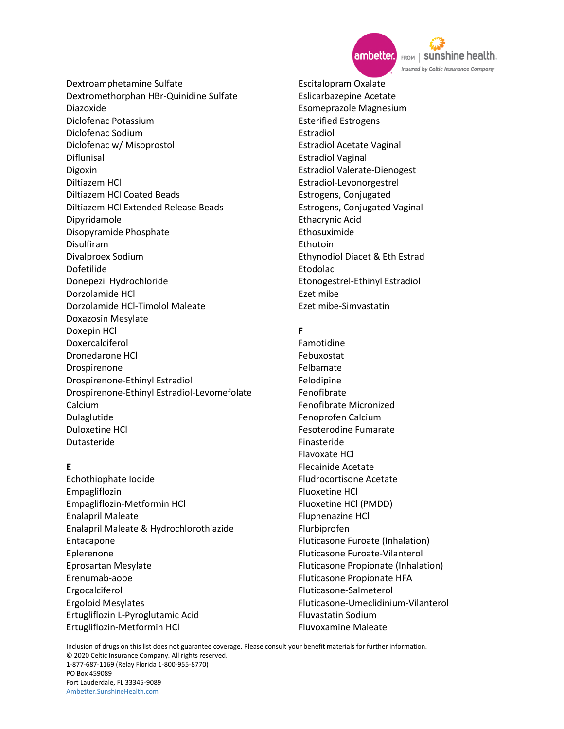

Dextroamphetamine Sulfate Dextromethorphan HBr-Quinidine Sulfate Diazoxide Diclofenac Potassium Diclofenac Sodium Diclofenac w/ Misoprostol Diflunisal Digoxin Diltiazem HCl Diltiazem HCl Coated Beads Diltiazem HCl Extended Release Beads Dipyridamole Disopyramide Phosphate Disulfiram Divalproex Sodium Dofetilide Donepezil Hydrochloride Dorzolamide HCl Dorzolamide HCl-Timolol Maleate Doxazosin Mesylate Doxepin HCl Doxercalciferol Dronedarone HCl Drospirenone Drospirenone-Ethinyl Estradiol Drospirenone-Ethinyl Estradiol-Levomefolate Calcium Dulaglutide Duloxetine HCl Dutasteride

#### **E**

Echothiophate Iodide Empagliflozin Empagliflozin-Metformin HCl Enalapril Maleate Enalapril Maleate & Hydrochlorothiazide Entacapone Eplerenone Eprosartan Mesylate Erenumab-aooe Ergocalciferol Ergoloid Mesylates Ertugliflozin L-Pyroglutamic Acid Ertugliflozin-Metformin HCl

Escitalopram Oxalate Eslicarbazepine Acetate Esomeprazole Magnesium Esterified Estrogens Estradiol Estradiol Acetate Vaginal Estradiol Vaginal Estradiol Valerate-Dienogest Estradiol-Levonorgestrel Estrogens, Conjugated Estrogens, Conjugated Vaginal Ethacrynic Acid Ethosuximide Ethotoin Ethynodiol Diacet & Eth Estrad Etodolac Etonogestrel-Ethinyl Estradiol Ezetimibe Ezetimibe-Simvastatin

### **F**

Famotidine Febuxostat Felbamate Felodipine Fenofibrate Fenofibrate Micronized Fenoprofen Calcium Fesoterodine Fumarate Finasteride Flavoxate HCl Flecainide Acetate Fludrocortisone Acetate Fluoxetine HCl Fluoxetine HCl (PMDD) Fluphenazine HCl Flurbiprofen Fluticasone Furoate (Inhalation) Fluticasone Furoate-Vilanterol Fluticasone Propionate (Inhalation) Fluticasone Propionate HFA Fluticasone-Salmeterol Fluticasone-Umeclidinium-Vilanterol Fluvastatin Sodium Fluvoxamine Maleate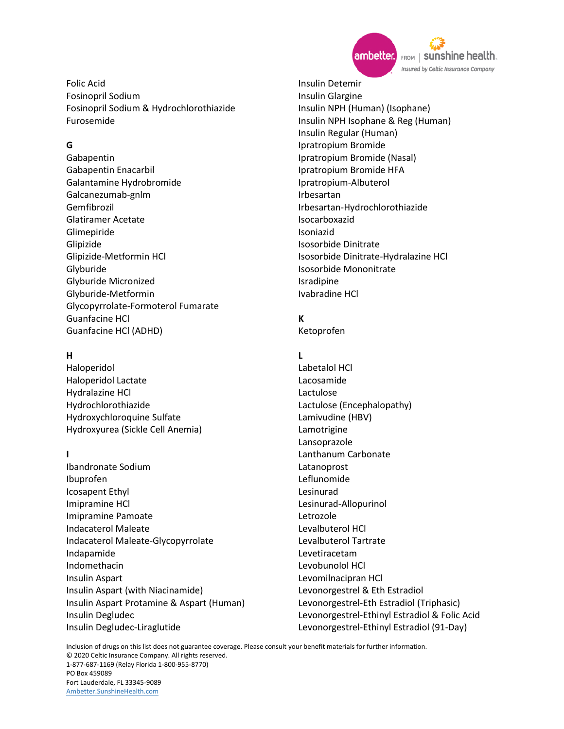

Folic Acid Fosinopril Sodium Fosinopril Sodium & Hydrochlorothiazide Furosemide

## **G**

Gabapentin Gabapentin Enacarbil Galantamine Hydrobromide Galcanezumab-gnlm Gemfibrozil Glatiramer Acetate Glimepiride Glipizide Glipizide-Metformin HCl Glyburide Glyburide Micronized Glyburide-Metformin Glycopyrrolate-Formoterol Fumarate Guanfacine HCl Guanfacine HCl (ADHD)

## **H**

Haloperidol Haloperidol Lactate Hydralazine HCl Hydrochlorothiazide Hydroxychloroquine Sulfate Hydroxyurea (Sickle Cell Anemia)

## **I**

Ibandronate Sodium Ibuprofen Icosapent Ethyl Imipramine HCl Imipramine Pamoate Indacaterol Maleate Indacaterol Maleate-Glycopyrrolate Indapamide Indomethacin Insulin Aspart Insulin Aspart (with Niacinamide) Insulin Aspart Protamine & Aspart (Human) Insulin Degludec Insulin Degludec-Liraglutide

Insulin Detemir Insulin Glargine Insulin NPH (Human) (Isophane) Insulin NPH Isophane & Reg (Human) Insulin Regular (Human) Ipratropium Bromide Ipratropium Bromide (Nasal) Ipratropium Bromide HFA Ipratropium-Albuterol Irbesartan Irbesartan-Hydrochlorothiazide Isocarboxazid Isoniazid Isosorbide Dinitrate Isosorbide Dinitrate-Hydralazine HCl Isosorbide Mononitrate Isradipine Ivabradine HCl

## **K**

Ketoprofen

## **L**

Labetalol HCl Lacosamide Lactulose Lactulose (Encephalopathy) Lamivudine (HBV) Lamotrigine Lansoprazole Lanthanum Carbonate Latanoprost Leflunomide Lesinurad Lesinurad-Allopurinol Letrozole Levalbuterol HCl Levalbuterol Tartrate Levetiracetam Levobunolol HCl Levomilnacipran HCl Levonorgestrel & Eth Estradiol Levonorgestrel-Eth Estradiol (Triphasic) Levonorgestrel-Ethinyl Estradiol & Folic Acid Levonorgestrel-Ethinyl Estradiol (91-Day)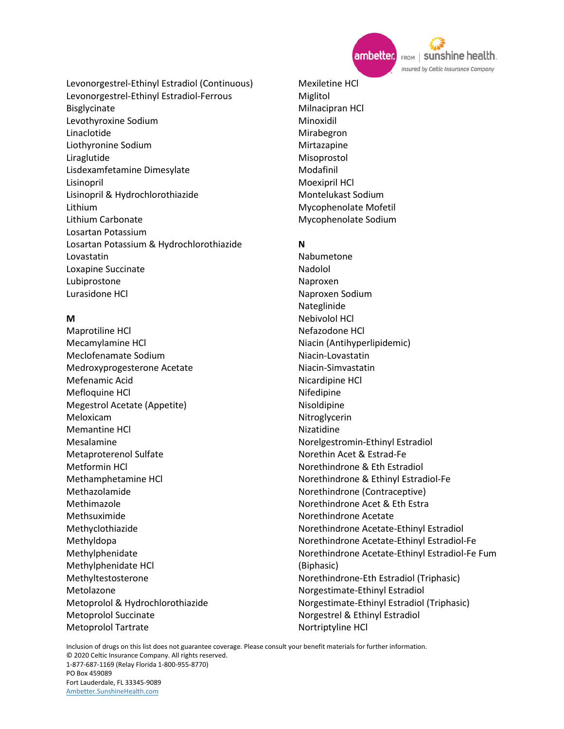

FROM | SUNShine health. Insured by Celtic Insurance Company

Levonorgestrel-Ethinyl Estradiol (Continuous) Levonorgestrel-Ethinyl Estradiol-Ferrous Bisglycinate Levothyroxine Sodium Linaclotide Liothyronine Sodium Liraglutide Lisdexamfetamine Dimesylate Lisinopril Lisinopril & Hydrochlorothiazide Lithium Lithium Carbonate Losartan Potassium Losartan Potassium & Hydrochlorothiazide Lovastatin Loxapine Succinate Lubiprostone Lurasidone HCl

## **M**

Maprotiline HCl Mecamylamine HCl Meclofenamate Sodium Medroxyprogesterone Acetate Mefenamic Acid Mefloquine HCl Megestrol Acetate (Appetite) Meloxicam Memantine HCl Mesalamine Metaproterenol Sulfate Metformin HCl Methamphetamine HCl Methazolamide Methimazole Methsuximide Methyclothiazide Methyldopa Methylphenidate Methylphenidate HCl Methyltestosterone Metolazone Metoprolol & Hydrochlorothiazide Metoprolol Succinate Metoprolol Tartrate

Mexiletine HCl Miglitol Milnacipran HCl Minoxidil Mirabegron Mirtazapine Misoprostol Modafinil Moexipril HCl Montelukast Sodium Mycophenolate Mofetil Mycophenolate Sodium

## **N**

Nabumetone Nadolol Naproxen Naproxen Sodium Nateglinide Nebivolol HCl Nefazodone HCl Niacin (Antihyperlipidemic) Niacin-Lovastatin Niacin-Simvastatin Nicardipine HCl Nifedipine Nisoldipine **Nitroglycerin** Nizatidine Norelgestromin-Ethinyl Estradiol Norethin Acet & Estrad-Fe Norethindrone & Eth Estradiol Norethindrone & Ethinyl Estradiol-Fe Norethindrone (Contraceptive) Norethindrone Acet & Eth Estra Norethindrone Acetate Norethindrone Acetate-Ethinyl Estradiol Norethindrone Acetate-Ethinyl Estradiol-Fe Norethindrone Acetate-Ethinyl Estradiol-Fe Fum (Biphasic) Norethindrone-Eth Estradiol (Triphasic) Norgestimate-Ethinyl Estradiol Norgestimate-Ethinyl Estradiol (Triphasic) Norgestrel & Ethinyl Estradiol Nortriptyline HCl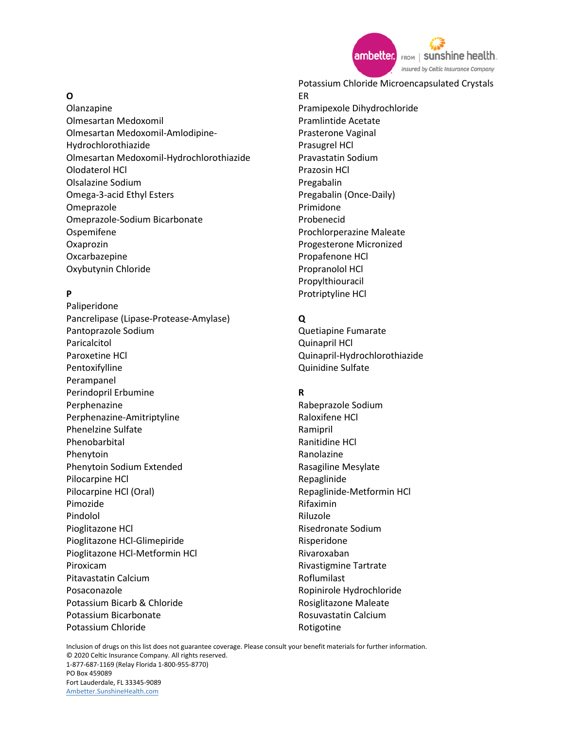

## **O**

Olanzapine Olmesartan Medoxomil Olmesartan Medoxomil-Amlodipine-Hydrochlorothiazide Olmesartan Medoxomil-Hydrochlorothiazide Olodaterol HCl Olsalazine Sodium Omega-3-acid Ethyl Esters Omeprazole Omeprazole-Sodium Bicarbonate Ospemifene Oxaprozin Oxcarbazepine Oxybutynin Chloride

## **P**

Paliperidone Pancrelipase (Lipase-Protease-Amylase) Pantoprazole Sodium Paricalcitol Paroxetine HCl Pentoxifylline Perampanel Perindopril Erbumine Perphenazine Perphenazine-Amitriptyline Phenelzine Sulfate Phenobarbital Phenytoin Phenytoin Sodium Extended Pilocarpine HCl Pilocarpine HCl (Oral) Pimozide Pindolol Pioglitazone HCl Pioglitazone HCl-Glimepiride Pioglitazone HCl-Metformin HCl Piroxicam Pitavastatin Calcium Posaconazole Potassium Bicarb & Chloride Potassium Bicarbonate Potassium Chloride

Potassium Chloride Microencapsulated Crystals ER Pramipexole Dihydrochloride Pramlintide Acetate Prasterone Vaginal Prasugrel HCl Pravastatin Sodium Prazosin HCl Pregabalin Pregabalin (Once-Daily) Primidone Probenecid Prochlorperazine Maleate Progesterone Micronized Propafenone HCl Propranolol HCl Propylthiouracil

## **Q**

Protriptyline HCl

Quetiapine Fumarate Quinapril HCl Quinapril-Hydrochlorothiazide Quinidine Sulfate

## **R**

Rabeprazole Sodium Raloxifene HCl Ramipril Ranitidine HCl Ranolazine Rasagiline Mesylate Repaglinide Repaglinide-Metformin HCl Rifaximin Riluzole Risedronate Sodium Risperidone Rivaroxaban Rivastigmine Tartrate Roflumilast Ropinirole Hydrochloride Rosiglitazone Maleate Rosuvastatin Calcium Rotigotine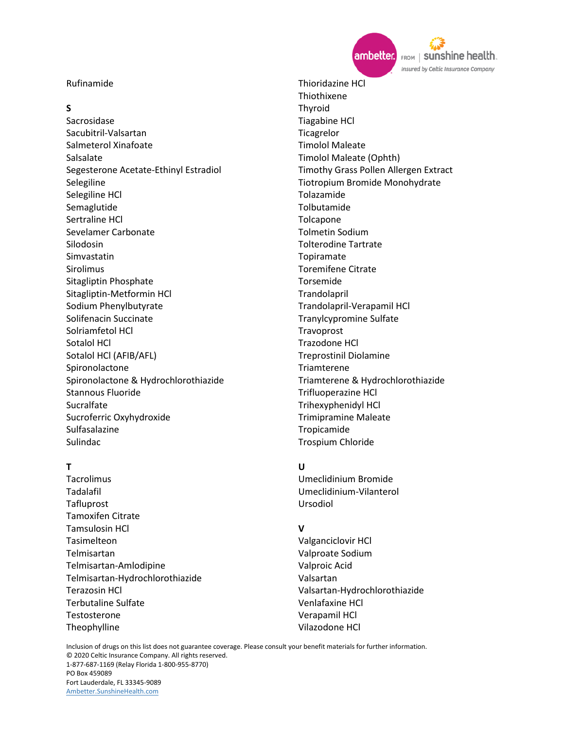#### Rufinamide

### **S**

Sacrosidase Sacubitril-Valsartan Salmeterol Xinafoate Salsalate Segesterone Acetate-Ethinyl Estradiol Selegiline Selegiline HCl Semaglutide Sertraline HCl Sevelamer Carbonate Silodosin Simvastatin Sirolimus Sitagliptin Phosphate Sitagliptin-Metformin HCl Sodium Phenylbutyrate Solifenacin Succinate Solriamfetol HCl Sotalol HCl Sotalol HCl (AFIB/AFL) Spironolactone Spironolactone & Hydrochlorothiazide Stannous Fluoride Sucralfate Sucroferric Oxyhydroxide Sulfasalazine Sulindac

#### **T**

**Tacrolimus** Tadalafil Tafluprost Tamoxifen Citrate Tamsulosin HCl Tasimelteon Telmisartan Telmisartan-Amlodipine Telmisartan-Hydrochlorothiazide Terazosin HCl Terbutaline Sulfate Testosterone Theophylline

Thioridazine HCl Thiothixene Thyroid Tiagabine HCl **Ticagrelor** Timolol Maleate Timolol Maleate (Ophth) Timothy Grass Pollen Allergen Extract Tiotropium Bromide Monohydrate Tolazamide Tolbutamide Tolcapone Tolmetin Sodium Tolterodine Tartrate Topiramate Toremifene Citrate Torsemide Trandolapril Trandolapril-Verapamil HCl Tranylcypromine Sulfate Travoprost Trazodone HCl Treprostinil Diolamine Triamterene Triamterene & Hydrochlorothiazide Trifluoperazine HCl Trihexyphenidyl HCl Trimipramine Maleate Tropicamide Trospium Chloride

#### **U**

Umeclidinium Bromide Umeclidinium-Vilanterol Ursodiol

## **V**

Valganciclovir HCl Valproate Sodium Valproic Acid Valsartan Valsartan-Hydrochlorothiazide Venlafaxine HCl Verapamil HCl Vilazodone HCl